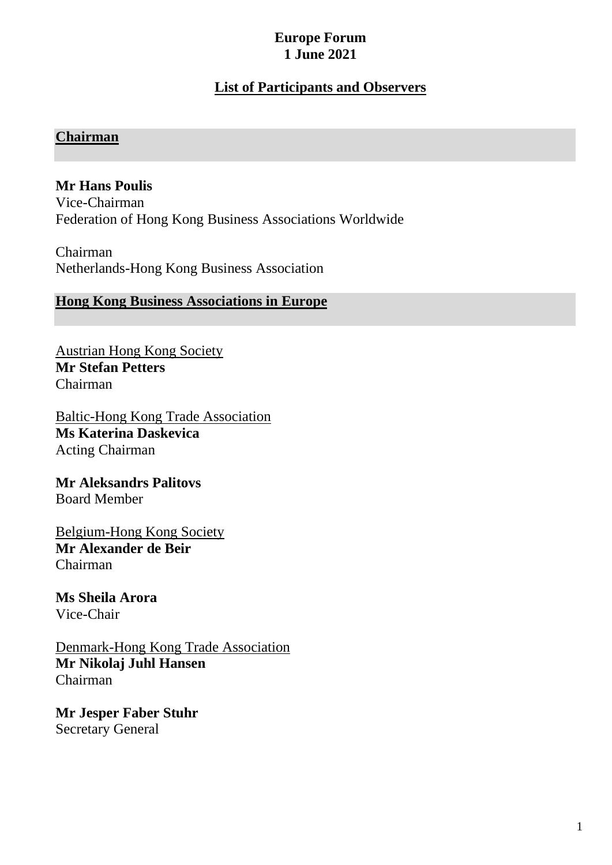## **Europe Forum 1 June 2021**

# **List of Participants and Observers**

#### **Chairman**

## **Mr Hans Poulis**

Vice-Chairman Federation of Hong Kong Business Associations Worldwide

Chairman Netherlands-Hong Kong Business Association

### **Hong Kong Business Associations in Europe**

Austrian Hong Kong Society **Mr Stefan Petters** Chairman

Baltic-Hong Kong Trade Association **Ms Katerina Daskevica** Acting Chairman

**Mr Aleksandrs Palitovs** Board Member

Belgium-Hong Kong Society **Mr Alexander de Beir** Chairman

**Ms Sheila Arora** Vice-Chair

Denmark-Hong Kong Trade Association **Mr Nikolaj Juhl Hansen** Chairman

**Mr Jesper Faber Stuhr** Secretary General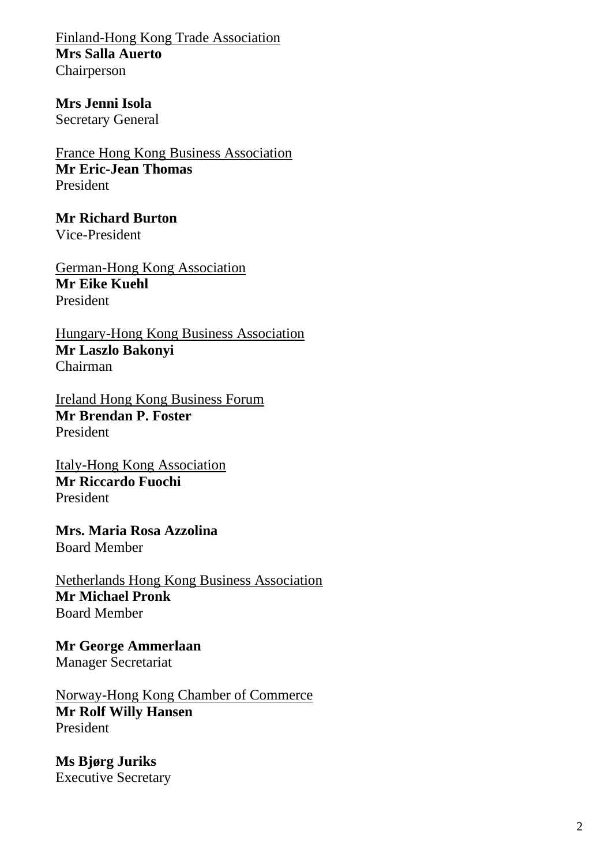Finland-Hong Kong Trade Association **Mrs Salla Auerto** Chairperson

**Mrs Jenni Isola** Secretary General

France Hong Kong Business Association **Mr Eric-Jean Thomas** President

**Mr Richard Burton** Vice-President

German-Hong Kong Association **Mr Eike Kuehl** President

Hungary-Hong Kong Business Association **Mr Laszlo Bakonyi** Chairman

Ireland Hong Kong Business Forum **Mr Brendan P. Foster** President

Italy-Hong Kong Association **Mr Riccardo Fuochi** President

**Mrs. Maria Rosa Azzolina**  Board Member

Netherlands Hong Kong Business Association **Mr Michael Pronk** Board Member

**Mr George Ammerlaan** Manager Secretariat

Norway-Hong Kong Chamber of Commerce **Mr Rolf Willy Hansen**  President

**Ms Bjørg Juriks** Executive Secretary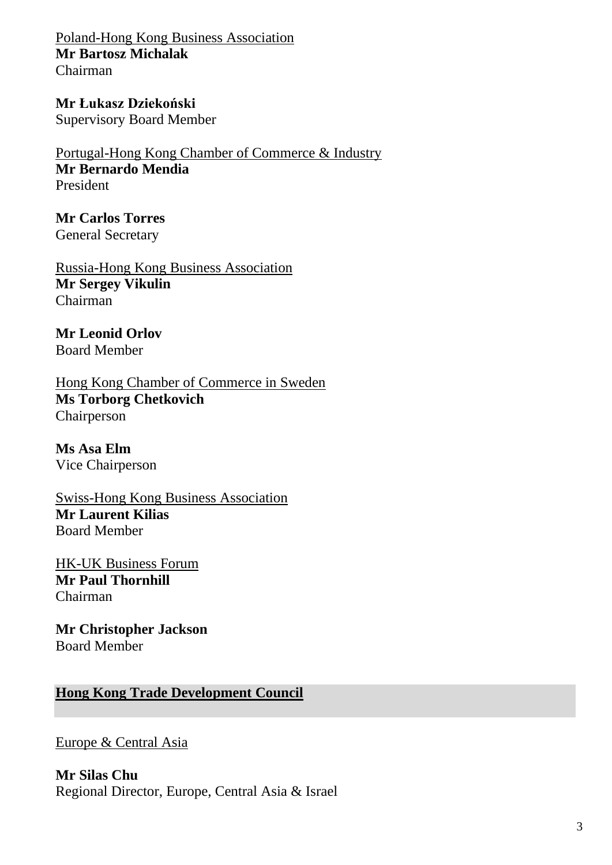Poland-Hong Kong Business Association **Mr Bartosz Michalak** Chairman

**Mr Łukasz Dziekoński** Supervisory Board Member

Portugal-Hong Kong Chamber of Commerce & Industry **Mr Bernardo Mendia** President

**Mr Carlos Torres** General Secretary

Russia-Hong Kong Business Association **Mr Sergey Vikulin**  Chairman

**Mr Leonid Orlov** Board Member

[Hong Kong Chamber of Commerce in Sweden](https://www.hkfederation.org.hk/about/member/detail?tid=483) **Ms Torborg Chetkovich**  Chairperson

**Ms Asa Elm** Vice Chairperson

Swiss-Hong Kong Business Association **Mr Laurent Kilias** Board Member

HK-UK Business Forum **Mr Paul Thornhill** Chairman

**Mr Christopher Jackson** Board Member

**Hong Kong Trade Development Council**

Europe & Central Asia

**Mr Silas Chu** Regional Director, Europe, Central Asia & Israel